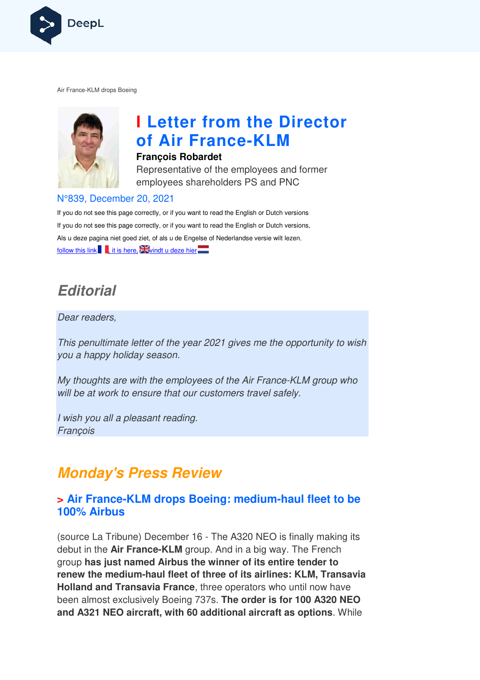

Air France-KLM drops Boeing



# **I Letter from the Director of Air France France-KLM**

#### **François Robardet**

Representative of the employees and former employees shareholders PS and PNC

#### N°839, December 20, 2021

If you do not see this page correctly, or if you want to read the English or Dutch versions If you do not see this page correctly, or if you want to read the English or Dutch versions, Als u deze pagina niet goed ziet, of als u de Engelse of Nederlandse versie wilt lezen, follow this link  $\blacksquare$ , it is here,  $\square$  windt u deze hier

## **Editorial**

#### Dear readers,

This penultimate letter of the year 2021 gives me the opportunity to wish you a happy holiday season.

My thoughts are with the employees of the Air France-KLM group who will be at work to ensure that our customers travel safely.

I wish you all a pleasant reading. **Francois** 

## **Monday's Press Review**

#### **> Air France-KLM drops Boeing: medium-haul fleet to be 100% Airbus**

(source La Tribune) December 16 - The A320 NEO is finally making its debut in the **Air France-KLM** group. And in a big way. The French group **has just named Airbus the winner of its entire tender to**  renew the medium-haul fleet of three of its airlines: KLM, Transavia **Holland and Transavia France** , three operators who until now have been almost exclusively Boeing 737s. **The order is for 100 A320 NE NEO and A321 NEO aircraft, with 60 additional aircraft as options** . While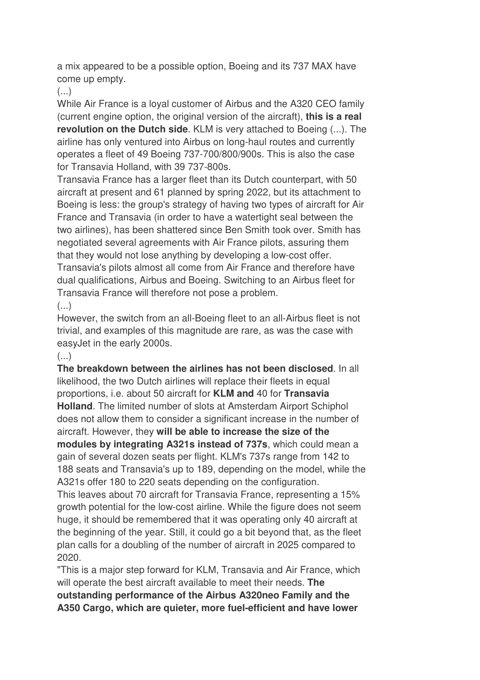a mix appeared to be a possible option, Boeing and its 737 MAX have come up empty.

(...)

While Air France is a loyal customer of Airbus and the A320 CEO family (current engine option, the original version of the aircraft), **this is a real revolution on the Dutch side**. KLM is very attached to Boeing (...). The airline has only ventured into Airbus on long-haul routes and currently operates a fleet of 49 Boeing 737-700/800/900s. This is also the case for Transavia Holland, with 39 737-800s.

Transavia France has a larger fleet than its Dutch counterpart, with 50 aircraft at present and 61 planned by spring 2022, but its attachment to Boeing is less: the group's strategy of having two types of aircraft for Air France and Transavia (in order to have a watertight seal between the two airlines), has been shattered since Ben Smith took over. Smith has negotiated several agreements with Air France pilots, assuring them that they would not lose anything by developing a low-cost offer. Transavia's pilots almost all come from Air France and therefore have dual qualifications, Airbus and Boeing. Switching to an Airbus fleet for Transavia France will therefore not pose a problem.

 $\left( \ldots \right)$ 

However, the switch from an all-Boeing fleet to an all-Airbus fleet is not trivial, and examples of this magnitude are rare, as was the case with easyJet in the early 2000s.

#### $(\ldots)$

2020.

**The breakdown between the airlines has not been disclosed**. In all likelihood, the two Dutch airlines will replace their fleets in equal proportions, i.e. about 50 aircraft for **KLM and** 40 for **Transavia Holland**. The limited number of slots at Amsterdam Airport Schiphol does not allow them to consider a significant increase in the number of aircraft. However, they **will be able to increase the size of the modules by integrating A321s instead of 737s**, which could mean a gain of several dozen seats per flight. KLM's 737s range from 142 to 188 seats and Transavia's up to 189, depending on the model, while the A321s offer 180 to 220 seats depending on the configuration. This leaves about 70 aircraft for Transavia France, representing a 15% growth potential for the low-cost airline. While the figure does not seem huge, it should be remembered that it was operating only 40 aircraft at the beginning of the year. Still, it could go a bit beyond that, as the fleet plan calls for a doubling of the number of aircraft in 2025 compared to

"This is a major step forward for KLM, Transavia and Air France, which will operate the best aircraft available to meet their needs. **The outstanding performance of the Airbus A320neo Family and the A350 Cargo, which are quieter, more fuel-efficient and have lower**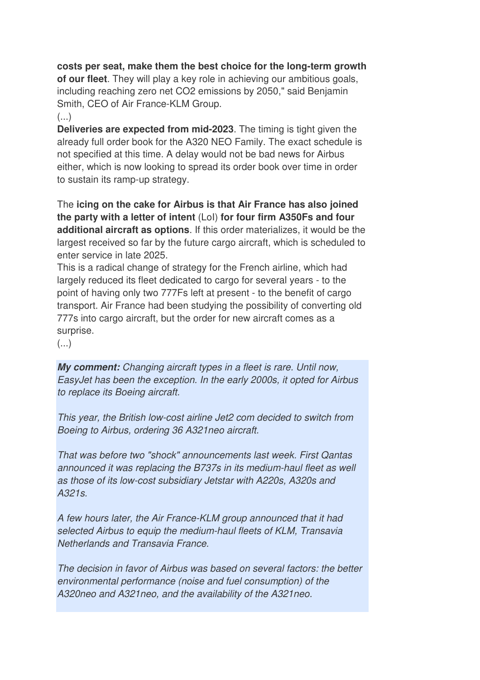#### **costs per seat, make them the best choice for the long-term growth**

**of our fleet**. They will play a key role in achieving our ambitious goals, including reaching zero net CO2 emissions by 2050," said Benjamin Smith, CEO of Air France-KLM Group.

#### (...)

**Deliveries are expected from mid-2023**. The timing is tight given the already full order book for the A320 NEO Family. The exact schedule is not specified at this time. A delay would not be bad news for Airbus either, which is now looking to spread its order book over time in order to sustain its ramp-up strategy.

The **icing on the cake for Airbus is that Air France has also joined the party with a letter of intent** (LoI) **for four firm A350Fs and four additional aircraft as options**. If this order materializes, it would be the largest received so far by the future cargo aircraft, which is scheduled to enter service in late 2025.

This is a radical change of strategy for the French airline, which had largely reduced its fleet dedicated to cargo for several years - to the point of having only two 777Fs left at present - to the benefit of cargo transport. Air France had been studying the possibility of converting old 777s into cargo aircraft, but the order for new aircraft comes as a surprise.

 $(\ldots)$ 

**My comment:** Changing aircraft types in a fleet is rare. Until now, EasyJet has been the exception. In the early 2000s, it opted for Airbus to replace its Boeing aircraft.

This year, the British low-cost airline Jet2 com decided to switch from Boeing to Airbus, ordering 36 A321neo aircraft.

That was before two "shock" announcements last week. First Qantas announced it was replacing the B737s in its medium-haul fleet as well as those of its low-cost subsidiary Jetstar with A220s, A320s and A321s.

A few hours later, the Air France-KLM group announced that it had selected Airbus to equip the medium-haul fleets of KLM, Transavia Netherlands and Transavia France.

The decision in favor of Airbus was based on several factors: the better environmental performance (noise and fuel consumption) of the A320neo and A321neo, and the availability of the A321neo.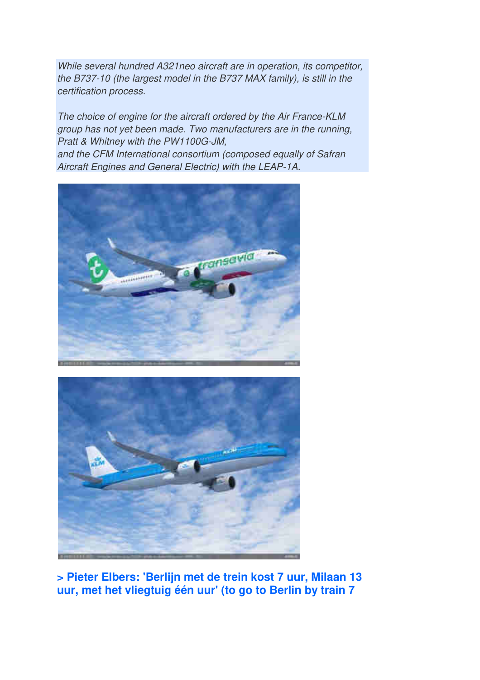While several hundred A321neo aircraft are in operation, its competitor, the B737-10 (the largest model in the B737 MAX family), is still in the certification process.

The choice of engine for the aircraft ordered by the Air France-KLM group has not yet been made. Two manufacturers are in the running, Pratt & Whitney with the PW1100G-JM,

and the CFM International consortium (composed equally of Safran Aircraft Engines and General Electric) with the LEAP-1A.





**> Pieter Elbers: 'Berlijn met de trein kost 7 uur, Milaan 13 uur, met het vliegtuig één uur' (to go to Berlin by train 7**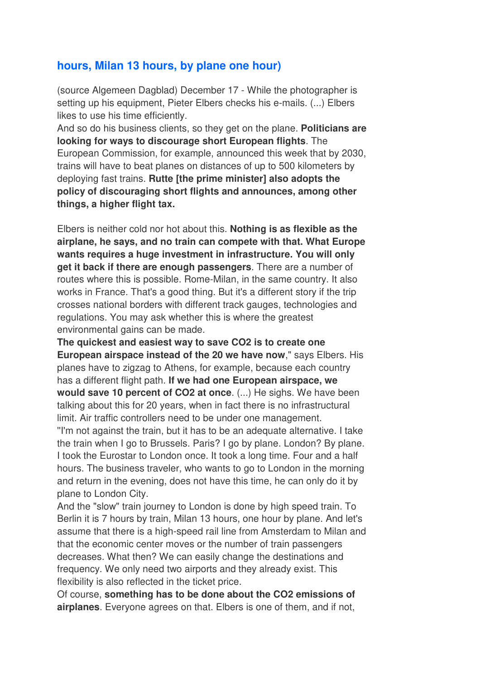#### **hours, Milan 13 hours, by plane one hour)**

(source Algemeen Dagblad) December 17 - While the photographer is setting up his equipment, Pieter Elbers checks his e-mails. (...) Elbers likes to use his time efficiently.

And so do his business clients, so they get on the plane. **Politicians are looking for ways to discourage short European flights**. The European Commission, for example, announced this week that by 2030, trains will have to beat planes on distances of up to 500 kilometers by deploying fast trains. **Rutte [the prime minister] also adopts the policy of discouraging short flights and announces, among other things, a higher flight tax.** 

Elbers is neither cold nor hot about this. **Nothing is as flexible as the airplane, he says, and no train can compete with that. What Europe wants requires a huge investment in infrastructure. You will only get it back if there are enough passengers**. There are a number of routes where this is possible. Rome-Milan, in the same country. It also works in France. That's a good thing. But it's a different story if the trip crosses national borders with different track gauges, technologies and regulations. You may ask whether this is where the greatest environmental gains can be made.

**The quickest and easiest way to save CO2 is to create one European airspace instead of the 20 we have now**," says Elbers. His planes have to zigzag to Athens, for example, because each country has a different flight path. **If we had one European airspace, we would save 10 percent of CO2 at once**. (...) He sighs. We have been talking about this for 20 years, when in fact there is no infrastructural limit. Air traffic controllers need to be under one management. ''I'm not against the train, but it has to be an adequate alternative. I take the train when I go to Brussels. Paris? I go by plane. London? By plane. I took the Eurostar to London once. It took a long time. Four and a half hours. The business traveler, who wants to go to London in the morning and return in the evening, does not have this time, he can only do it by plane to London City.

And the "slow" train journey to London is done by high speed train. To Berlin it is 7 hours by train, Milan 13 hours, one hour by plane. And let's assume that there is a high-speed rail line from Amsterdam to Milan and that the economic center moves or the number of train passengers decreases. What then? We can easily change the destinations and frequency. We only need two airports and they already exist. This flexibility is also reflected in the ticket price.

Of course, **something has to be done about the CO2 emissions of airplanes**. Everyone agrees on that. Elbers is one of them, and if not,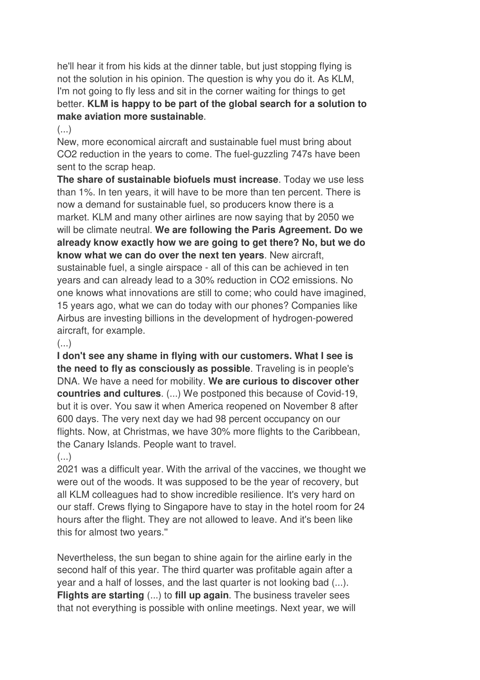he'll hear it from his kids at the dinner table, but just stopping flying is not the solution in his opinion. The question is why you do it. As KLM, I'm not going to fly less and sit in the corner waiting for things to get better. **KLM is happy to be part of the global search for a solution to make aviation more sustainable**.

 $\left( \ldots \right)$ 

New, more economical aircraft and sustainable fuel must bring about CO2 reduction in the years to come. The fuel-guzzling 747s have been sent to the scrap heap.

**The share of sustainable biofuels must increase**. Today we use less than 1%. In ten years, it will have to be more than ten percent. There is now a demand for sustainable fuel, so producers know there is a market. KLM and many other airlines are now saying that by 2050 we will be climate neutral. **We are following the Paris Agreement. Do we already know exactly how we are going to get there? No, but we do know what we can do over the next ten years**. New aircraft, sustainable fuel, a single airspace - all of this can be achieved in ten years and can already lead to a 30% reduction in CO2 emissions. No one knows what innovations are still to come; who could have imagined, 15 years ago, what we can do today with our phones? Companies like Airbus are investing billions in the development of hydrogen-powered aircraft, for example.

 $(\ldots)$ 

**I don't see any shame in flying with our customers. What I see is the need to fly as consciously as possible**. Traveling is in people's DNA. We have a need for mobility. **We are curious to discover other countries and cultures**. (...) We postponed this because of Covid-19, but it is over. You saw it when America reopened on November 8 after 600 days. The very next day we had 98 percent occupancy on our flights. Now, at Christmas, we have 30% more flights to the Caribbean, the Canary Islands. People want to travel.

### $(\ldots)$

2021 was a difficult year. With the arrival of the vaccines, we thought we were out of the woods. It was supposed to be the year of recovery, but all KLM colleagues had to show incredible resilience. It's very hard on our staff. Crews flying to Singapore have to stay in the hotel room for 24 hours after the flight. They are not allowed to leave. And it's been like this for almost two years.''

Nevertheless, the sun began to shine again for the airline early in the second half of this year. The third quarter was profitable again after a year and a half of losses, and the last quarter is not looking bad (...). **Flights are starting** (...) to **fill up again**. The business traveler sees that not everything is possible with online meetings. Next year, we will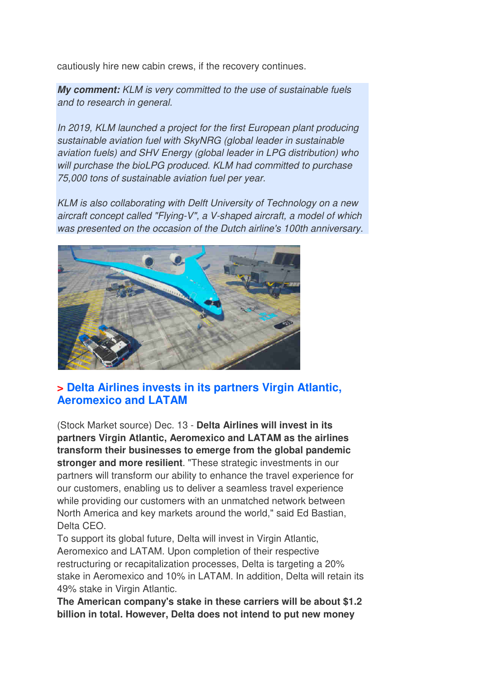cautiously hire new cabin crews, if the recovery continues.

**My comment:** KLM is very committed to the use of sustainable fuels and to research in general.

In 2019, KLM launched a project for the first European plant producing sustainable aviation fuel with SkyNRG (global leader in sustainable aviation fuels) and SHV Energy (global leader in LPG distribution) who will purchase the bioLPG produced. KLM had committed to purchase 75,000 tons of sustainable aviation fuel per year.

KLM is also collaborating with Delft University of Technology on a new aircraft concept called "Flying-V", a V-shaped aircraft, a model of which was presented on the occasion of the Dutch airline's 100th anniversary.



### **> Delta Airlines invests in its partners Virgin Atlantic, Aeromexico and LATAM**

(Stock Market source) Dec. 13 - **Delta Airlines will invest in its partners Virgin Atlantic, Aeromexico and LATAM as the airlines transform their businesses to emerge from the global pandemic stronger and more resilient**. "These strategic investments in our partners will transform our ability to enhance the travel experience for our customers, enabling us to deliver a seamless travel experience while providing our customers with an unmatched network between North America and key markets around the world," said Ed Bastian, Delta CEO.

To support its global future, Delta will invest in Virgin Atlantic, Aeromexico and LATAM. Upon completion of their respective restructuring or recapitalization processes, Delta is targeting a 20% stake in Aeromexico and 10% in LATAM. In addition, Delta will retain its 49% stake in Virgin Atlantic.

**The American company's stake in these carriers will be about \$1.2 billion in total. However, Delta does not intend to put new money**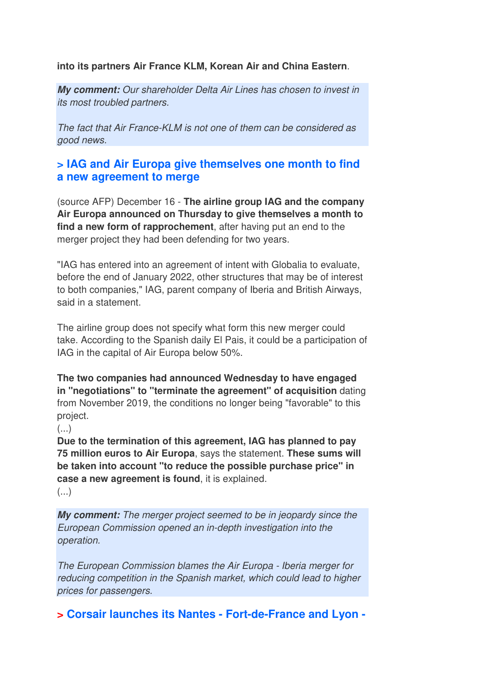**into its partners Air France KLM, Korean Air and China Eastern**.

**My comment:** Our shareholder Delta Air Lines has chosen to invest in its most troubled partners.

The fact that Air France-KLM is not one of them can be considered as good news.

#### **> IAG and Air Europa give themselves one month to find a new agreement to merge**

(source AFP) December 16 - **The airline group IAG and the company Air Europa announced on Thursday to give themselves a month to find a new form of rapprochement**, after having put an end to the merger project they had been defending for two years.

"IAG has entered into an agreement of intent with Globalia to evaluate, before the end of January 2022, other structures that may be of interest to both companies," IAG, parent company of Iberia and British Airways, said in a statement.

The airline group does not specify what form this new merger could take. According to the Spanish daily El Pais, it could be a participation of IAG in the capital of Air Europa below 50%.

**The two companies had announced Wednesday to have engaged in "negotiations" to "terminate the agreement" of acquisition** dating from November 2019, the conditions no longer being "favorable" to this project.

(...)

**Due to the termination of this agreement, IAG has planned to pay 75 million euros to Air Europa**, says the statement. **These sums will be taken into account "to reduce the possible purchase price" in case a new agreement is found**, it is explained.

 $\left( \ldots \right)$ 

**My comment:** The merger project seemed to be in jeopardy since the European Commission opened an in-depth investigation into the operation.

The European Commission blames the Air Europa - Iberia merger for reducing competition in the Spanish market, which could lead to higher prices for passengers.

**> Corsair launches its Nantes - Fort-de-France and Lyon -**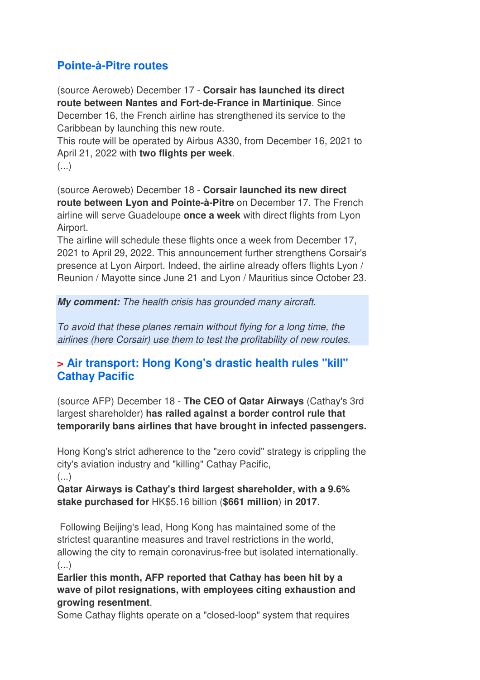## **Pointe-à-Pitre routes**

(source Aeroweb) December 17 - **Corsair has launched its direct route between Nantes and Fort-de-France in Martinique**. Since December 16, the French airline has strengthened its service to the Caribbean by launching this new route.

This route will be operated by Airbus A330, from December 16, 2021 to April 21, 2022 with **two flights per week**.

(...)

(source Aeroweb) December 18 - **Corsair launched its new direct route between Lyon and Pointe-à-Pitre** on December 17. The French airline will serve Guadeloupe **once a week** with direct flights from Lyon Airport.

The airline will schedule these flights once a week from December 17, 2021 to April 29, 2022. This announcement further strengthens Corsair's presence at Lyon Airport. Indeed, the airline already offers flights Lyon / Reunion / Mayotte since June 21 and Lyon / Mauritius since October 23.

**My comment:** The health crisis has grounded many aircraft.

To avoid that these planes remain without flying for a long time, the airlines (here Corsair) use them to test the profitability of new routes.

### **> Air transport: Hong Kong's drastic health rules "kill" Cathay Pacific**

(source AFP) December 18 - **The CEO of Qatar Airways** (Cathay's 3rd largest shareholder) **has railed against a border control rule that temporarily bans airlines that have brought in infected passengers.**

Hong Kong's strict adherence to the "zero covid" strategy is crippling the city's aviation industry and "killing" Cathay Pacific,

 $($ ...) **Qatar Airways is Cathay's third largest shareholder, with a 9.6%** 

**stake purchased for** HK\$5.16 billion (**\$661 million**) **in 2017**.

 Following Beijing's lead, Hong Kong has maintained some of the strictest quarantine measures and travel restrictions in the world, allowing the city to remain coronavirus-free but isolated internationally.  $(\ldots)$ 

**Earlier this month, AFP reported that Cathay has been hit by a wave of pilot resignations, with employees citing exhaustion and growing resentment**.

Some Cathay flights operate on a "closed-loop" system that requires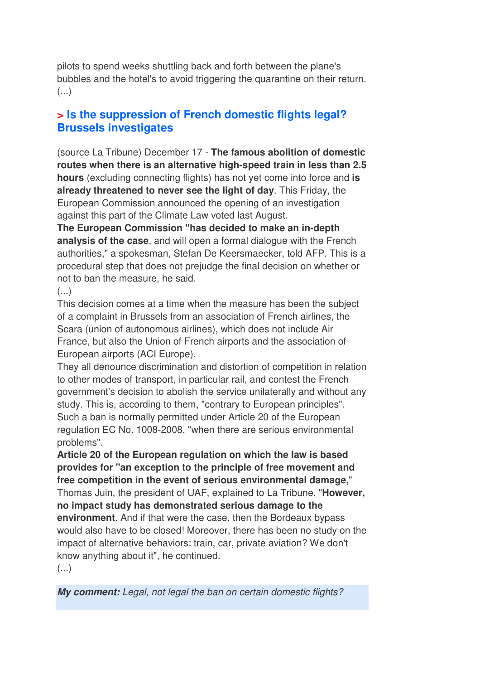pilots to spend weeks shuttling back and forth between the plane's bubbles and the hotel's to avoid triggering the quarantine on their return. (...)

## **> Is the suppression of French domestic flights legal? Brussels investigates**

(source La Tribune) December 17 - **The famous abolition of domestic routes when there is an alternative high-speed train in less than 2.5 hours** (excluding connecting flights) has not yet come into force and **is already threatened to never see the light of day**. This Friday, the European Commission announced the opening of an investigation against this part of the Climate Law voted last August.

**The European Commission "has decided to make an in-depth analysis of the case**, and will open a formal dialogue with the French authorities," a spokesman, Stefan De Keersmaecker, told AFP. This is a procedural step that does not prejudge the final decision on whether or not to ban the measure, he said.

#### $\left( \ldots \right)$

This decision comes at a time when the measure has been the subject of a complaint in Brussels from an association of French airlines, the Scara (union of autonomous airlines), which does not include Air France, but also the Union of French airports and the association of European airports (ACI Europe).

They all denounce discrimination and distortion of competition in relation to other modes of transport, in particular rail, and contest the French government's decision to abolish the service unilaterally and without any study. This is, according to them, "contrary to European principles". Such a ban is normally permitted under Article 20 of the European regulation EC No. 1008-2008, "when there are serious environmental problems".

**Article 20 of the European regulation on which the law is based provides for "an exception to the principle of free movement and free competition in the event of serious environmental damage,**" Thomas Juin, the president of UAF, explained to La Tribune. "**However, no impact study has demonstrated serious damage to the environment**. And if that were the case, then the Bordeaux bypass would also have to be closed! Moreover, there has been no study on the impact of alternative behaviors: train, car, private aviation? We don't know anything about it", he continued.

(...)

**My comment:** Legal, not legal the ban on certain domestic flights?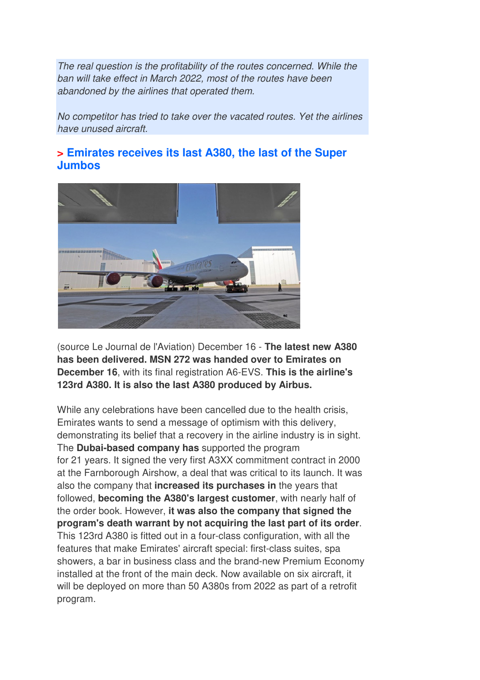The real question is the profitability of the routes concerned. While the ban will take effect in March 2022, most of the routes have been abandoned by the airlines that operated them.

No competitor has tried to take over the vacated routes. Yet the airlines have unused aircraft.

## **> Emirates receives its last A380, the last of the Super Jumbos**



(source Le Journal de l'Aviation) December 16 - **The latest new A380 has been delivered. MSN 272 was handed over to Emirates on December 16**, with its final registration A6-EVS. **This is the airline's 123rd A380. It is also the last A380 produced by Airbus.** 

While any celebrations have been cancelled due to the health crisis, Emirates wants to send a message of optimism with this delivery, demonstrating its belief that a recovery in the airline industry is in sight. The **Dubai-based company has** supported the program for 21 years. It signed the very first A3XX commitment contract in 2000 at the Farnborough Airshow, a deal that was critical to its launch. It was also the company that **increased its purchases in** the years that followed, **becoming the A380's largest customer**, with nearly half of the order book. However, **it was also the company that signed the program's death warrant by not acquiring the last part of its order**. This 123rd A380 is fitted out in a four-class configuration, with all the features that make Emirates' aircraft special: first-class suites, spa showers, a bar in business class and the brand-new Premium Economy installed at the front of the main deck. Now available on six aircraft, it will be deployed on more than 50 A380s from 2022 as part of a retrofit program.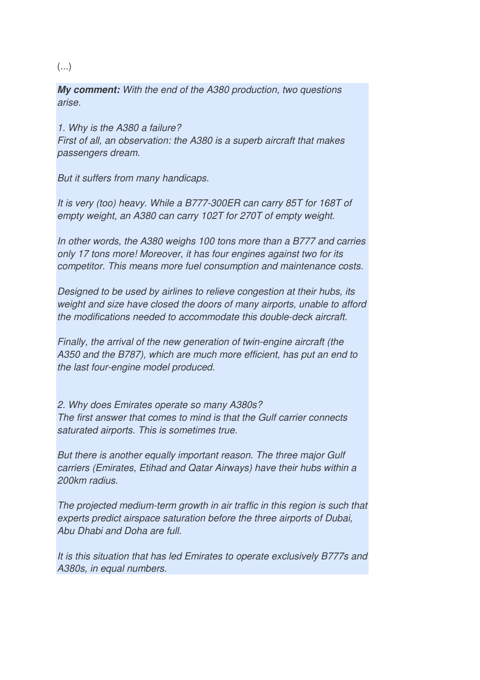#### (...)

**My comment:** With the end of the A380 production, two questions arise.

1. Why is the A380 a failure? First of all, an observation: the A380 is a superb aircraft that makes passengers dream.

But it suffers from many handicaps.

It is very (too) heavy. While a B777-300ER can carry 85T for 168T of empty weight, an A380 can carry 102T for 270T of empty weight.

In other words, the A380 weighs 100 tons more than a B777 and carries only 17 tons more! Moreover, it has four engines against two for its competitor. This means more fuel consumption and maintenance costs.

Designed to be used by airlines to relieve congestion at their hubs, its weight and size have closed the doors of many airports, unable to afford the modifications needed to accommodate this double-deck aircraft.

Finally, the arrival of the new generation of twin-engine aircraft (the A350 and the B787), which are much more efficient, has put an end to the last four-engine model produced.

2. Why does Emirates operate so many A380s? The first answer that comes to mind is that the Gulf carrier connects saturated airports. This is sometimes true.

But there is another equally important reason. The three major Gulf carriers (Emirates, Etihad and Qatar Airways) have their hubs within a 200km radius.

The projected medium-term growth in air traffic in this region is such that experts predict airspace saturation before the three airports of Dubai, Abu Dhabi and Doha are full.

It is this situation that has led Emirates to operate exclusively B777s and A380s, in equal numbers.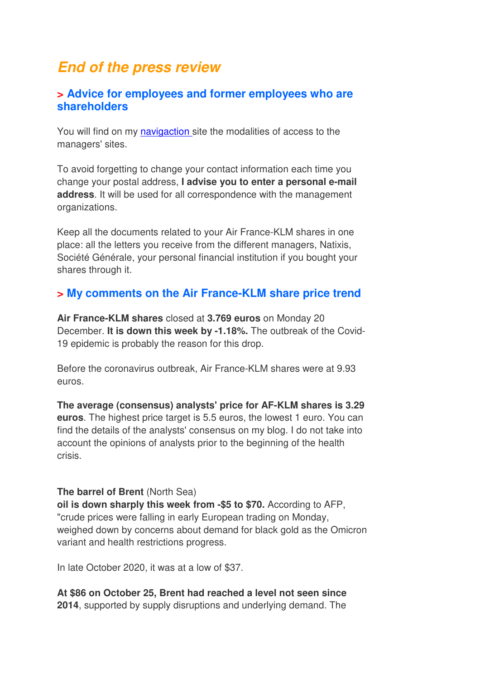## **End of the press review**

#### **> Advice for employees and former employees who are shareholders**

You will find on my navigaction site the modalities of access to the managers' sites.

To avoid forgetting to change your contact information each time you change your postal address, **I advise you to enter a personal e-mail address**. It will be used for all correspondence with the management organizations.

Keep all the documents related to your Air France-KLM shares in one place: all the letters you receive from the different managers, Natixis, Société Générale, your personal financial institution if you bought your shares through it.

### **> My comments on the Air France-KLM share price trend**

**Air France-KLM shares** closed at **3.769 euros** on Monday 20 December. **It is down this week by -1.18%.** The outbreak of the Covid-19 epidemic is probably the reason for this drop.

Before the coronavirus outbreak, Air France-KLM shares were at 9.93 euros.

**The average (consensus) analysts' price for AF-KLM shares is 3.29 euros**. The highest price target is 5.5 euros, the lowest 1 euro. You can find the details of the analysts' consensus on my blog. I do not take into account the opinions of analysts prior to the beginning of the health crisis.

#### **The barrel of Brent** (North Sea)

**oil is down sharply this week from -\$5 to \$70.** According to AFP, "crude prices were falling in early European trading on Monday, weighed down by concerns about demand for black gold as the Omicron variant and health restrictions progress.

In late October 2020, it was at a low of \$37.

**At \$86 on October 25, Brent had reached a level not seen since 2014**, supported by supply disruptions and underlying demand. The